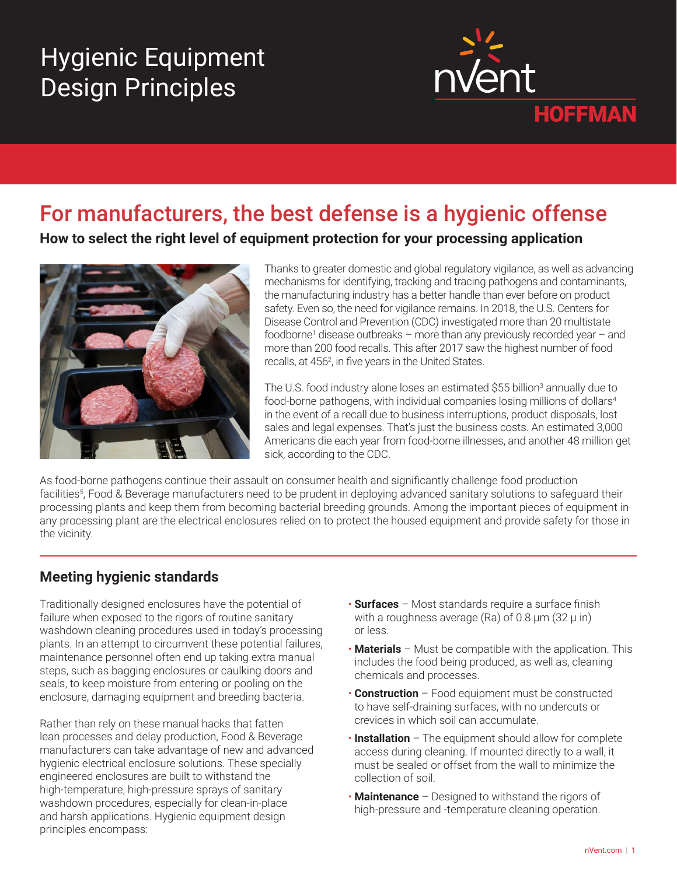# Hygienic Equipment Design Principles



## For manufacturers, the best defense is a hygienic offense

**How to select the right level of equipment protection for your processing application**



Thanks to greater domestic and global regulatory vigilance, as well as advancing mechanisms for identifying, tracking and tracing pathogens and contaminants, the manufacturing industry has a better handle than ever before on product safety. Even so, the need for vigilance remains. In 2018, the U.S. Centers for Disease Control and Prevention (CDC) investigated more than 20 multistate foodborne<sup>1</sup> disease outbreaks - more than any previously recorded year - and more than 200 food recalls. This after 2017 saw the highest number of food recalls, at 456<sup>2</sup>, in five years in the United States.

The U.S. food industry alone loses an estimated \$55 billion<sup>3</sup> annually due to food-borne pathogens, with individual companies losing millions of dollars<sup>4</sup> in the event of a recall due to business interruptions, product disposals, lost sales and legal expenses. That's just the business costs. An estimated 3,000 Americans die each year from food-borne illnesses, and another 48 million get sick, according to the CDC.

As food-borne pathogens continue their assault on consumer health and significantly challenge food production facilities<sup>5</sup>, Food & Beverage manufacturers need to be prudent in deploying advanced sanitary solutions to safeguard their processing plants and keep them from becoming bacterial breeding grounds. Among the important pieces of equipment in any processing plant are the electrical enclosures relied on to protect the housed equipment and provide safety for those in the vicinity.

## **Meeting hygienic standards**

Traditionally designed enclosures have the potential of failure when exposed to the rigors of routine sanitary washdown cleaning procedures used in today's processing plants. In an attempt to circumvent these potential failures, maintenance personnel often end up taking extra manual steps, such as bagging enclosures or caulking doors and seals, to keep moisture from entering or pooling on the enclosure, damaging equipment and breeding bacteria.

Rather than rely on these manual hacks that fatten lean processes and delay production, Food & Beverage manufacturers can take advantage of new and advanced hygienic electrical enclosure solutions. These specially engineered enclosures are built to withstand the high-temperature, high-pressure sprays of sanitary washdown procedures, especially for clean-in-place and harsh applications. Hygienic equipment design principles encompass:

- **Surfaces** Most standards require a surface finish with a roughness average (Ra) of  $0.8 \mu m$  (32  $\mu$  in) or less.
- **Materials** Must be compatible with the application. This includes the food being produced, as well as, cleaning chemicals and processes.
- **Construction** Food equipment must be constructed to have self-draining surfaces, with no undercuts or crevices in which soil can accumulate.
- **Installation** The equipment should allow for complete access during cleaning. If mounted directly to a wall, it must be sealed or offset from the wall to minimize the collection of soil.
- **Maintenance** Designed to withstand the rigors of high-pressure and -temperature cleaning operation.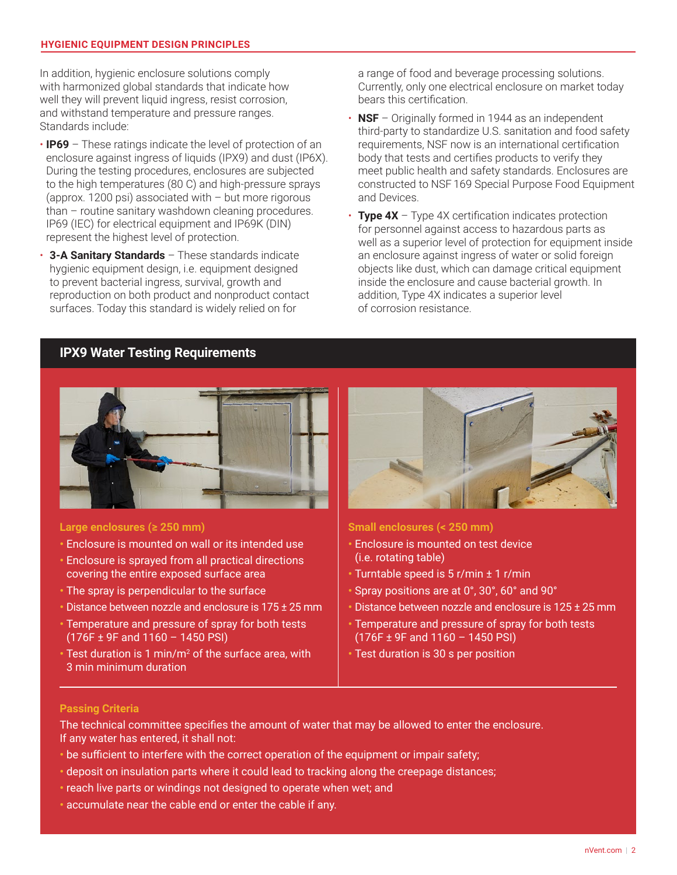#### **HYGIENIC EQUIPMENT DESIGN PRINCIPLES**

In addition, hygienic enclosure solutions comply with harmonized global standards that indicate how well they will prevent liquid ingress, resist corrosion, and withstand temperature and pressure ranges. Standards include:

- **IP69** These ratings indicate the level of protection of an enclosure against ingress of liquids (IPX9) and dust (IP6X). During the testing procedures, enclosures are subjected to the high temperatures (80 C) and high-pressure sprays (approx. 1200 psi) associated with – but more rigorous than – routine sanitary washdown cleaning procedures. IP69 (IEC) for electrical equipment and IP69K (DIN) represent the highest level of protection.
- **3-A Sanitary Standards** These standards indicate hygienic equipment design, i.e. equipment designed to prevent bacterial ingress, survival, growth and reproduction on both product and nonproduct contact surfaces. Today this standard is widely relied on for

a range of food and beverage processing solutions. Currently, only one electrical enclosure on market today bears this certification.

- **NSF** Originally formed in 1944 as an independent third-party to standardize U.S. sanitation and food safety requirements, NSF now is an international certification body that tests and certifies products to verify they meet public health and safety standards. Enclosures are constructed to NSF 169 Special Purpose Food Equipment and Devices.
- **Type 4X** Type 4X certification indicates protection for personnel against access to hazardous parts as well as a superior level of protection for equipment inside an enclosure against ingress of water or solid foreign objects like dust, which can damage critical equipment inside the enclosure and cause bacterial growth. In addition, Type 4X indicates a superior level of corrosion resistance.

#### **IPX9 Water Testing Requirements**



#### **Large enclosures (≥ 250 mm)**

- Enclosure is mounted on wall or its intended use
- Enclosure is sprayed from all practical directions covering the entire exposed surface area
- The spray is perpendicular to the surface
- Distance between nozzle and enclosure is 175 ± 25 mm
- Temperature and pressure of spray for both tests (176F ± 9F and 1160 – 1450 PSI)
- Test duration is 1 min/m<sup>2</sup> of the surface area, with 3 min minimum duration



**Small enclosures (< 250 mm)**

- Enclosure is mounted on test device (i.e. rotating table)
- Turntable speed is 5 r/min ± 1 r/min
- Spray positions are at 0°, 30°, 60° and 90°
- Distance between nozzle and enclosure is 125 ± 25 mm
- Temperature and pressure of spray for both tests (176F ± 9F and 1160 – 1450 PSI)
- Test duration is 30 s per position

#### **Passing Criteria**

The technical committee specifies the amount of water that may be allowed to enter the enclosure. If any water has entered, it shall not:

- be sufficient to interfere with the correct operation of the equipment or impair safety;
- deposit on insulation parts where it could lead to tracking along the creepage distances;
- reach live parts or windings not designed to operate when wet; and
- accumulate near the cable end or enter the cable if any.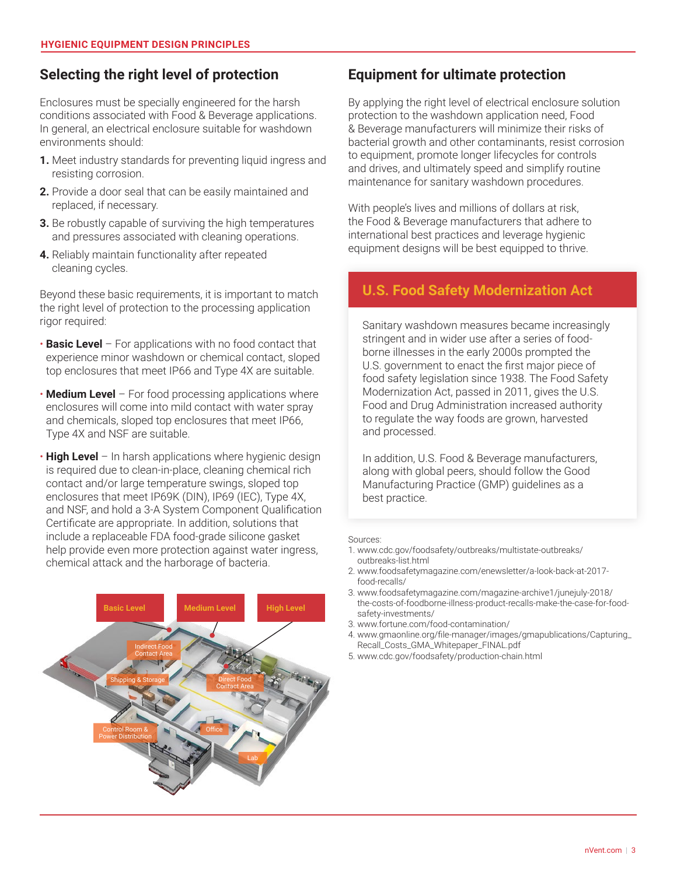## **Selecting the right level of protection**

Enclosures must be specially engineered for the harsh conditions associated with Food & Beverage applications. In general, an electrical enclosure suitable for washdown environments should:

- **1.** Meet industry standards for preventing liquid ingress and resisting corrosion.
- **2.** Provide a door seal that can be easily maintained and replaced, if necessary.
- **3.** Be robustly capable of surviving the high temperatures and pressures associated with cleaning operations.
- **4.** Reliably maintain functionality after repeated cleaning cycles.

Beyond these basic requirements, it is important to match the right level of protection to the processing application rigor required:

- **Basic Level** For applications with no food contact that experience minor washdown or chemical contact, sloped top enclosures that meet IP66 and Type 4X are suitable.
- **Medium Level** For food processing applications where enclosures will come into mild contact with water spray and chemicals, sloped top enclosures that meet IP66, Type 4X and NSF are suitable.
- **High Level** In harsh applications where hygienic design is required due to clean-in-place, cleaning chemical rich contact and/or large temperature swings, sloped top enclosures that meet IP69K (DIN), IP69 (IEC), Type 4X, and NSF, and hold a 3-A System Component Qualification Certificate are appropriate. In addition, solutions that include a replaceable FDA food-grade silicone gasket help provide even more protection against water ingress, chemical attack and the harborage of bacteria.



## **Equipment for ultimate protection**

By applying the right level of electrical enclosure solution protection to the washdown application need, Food & Beverage manufacturers will minimize their risks of bacterial growth and other contaminants, resist corrosion to equipment, promote longer lifecycles for controls and drives, and ultimately speed and simplify routine maintenance for sanitary washdown procedures.

With people's lives and millions of dollars at risk, the Food & Beverage manufacturers that adhere to international best practices and leverage hygienic equipment designs will be best equipped to thrive.

#### **U.S. Food Safety Modernization Act**

Sanitary washdown measures became increasingly stringent and in wider use after a series of foodborne illnesses in the early 2000s prompted the U.S. government to enact the first major piece of food safety legislation since 1938. The Food Safety Modernization Act, passed in 2011, gives the U.S. Food and Drug Administration increased authority to regulate the way foods are grown, harvested and processed.

In addition, U.S. Food & Beverage manufacturers, along with global peers, should follow the Good Manufacturing Practice (GMP) guidelines as a best practice.

#### Sources:

- 1. www.cdc.gov/foodsafety/outbreaks/multistate-outbreaks/ outbreaks-list.html
- 2. www.foodsafetymagazine.com/enewsletter/a-look-back-at-2017 food-recalls/
- 3. www.foodsafetymagazine.com/magazine-archive1/junejuly-2018/ the-costs-of-foodborne-illness-product-recalls-make-the-case-for-foodsafety-investments/
- 3. www.fortune.com/food-contamination/
- 4. www.gmaonline.org/file-manager/images/gmapublications/Capturing\_ Recall\_Costs\_GMA\_Whitepaper\_FINAL.pdf
- 5. www.cdc.gov/foodsafety/production-chain.html